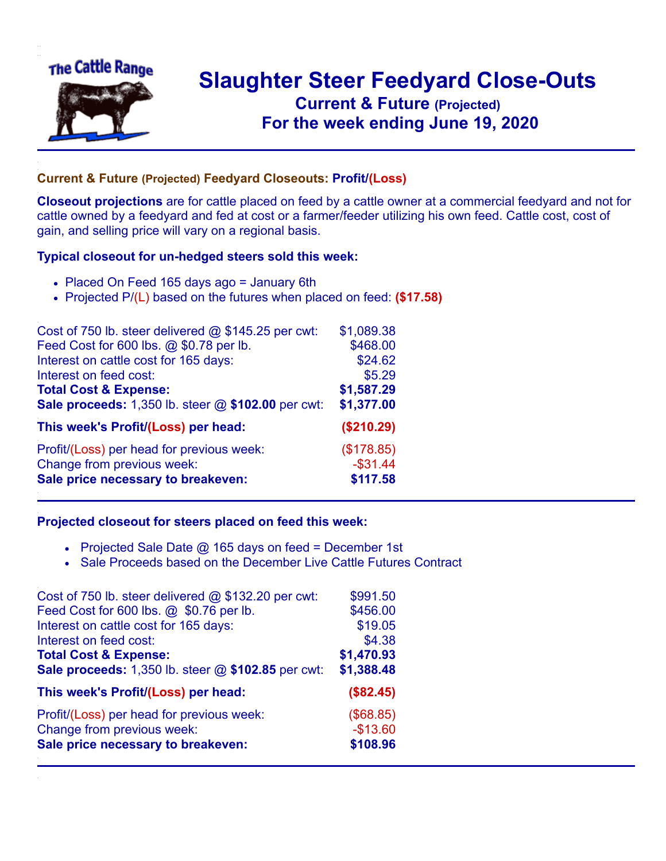

## **Slaughter Steer Feedyard Close-Outs Current & Future (Projected)** .**For the week ending June 19, 2020**

## **Current & Future (Projected) Feedyard Closeouts: Profit/(Loss)**

**Closeout projections** are for cattle placed on feed by a cattle owner at a commercial feedyard and not for cattle owned by a feedyard and fed at cost or a farmer/feeder utilizing his own feed. Cattle cost, cost of gain, and selling price will vary on a regional basis.

## **Typical closeout for un-hedged steers sold this week:**

- Placed On Feed 165 days ago = January 6th
- Projected P/(L) based on the futures when placed on feed: **(\$17.58)**

| Cost of 750 lb. steer delivered $@$ \$145.25 per cwt: | \$1,089.38  |
|-------------------------------------------------------|-------------|
| Feed Cost for 600 lbs. @ \$0.78 per lb.               | \$468.00    |
| Interest on cattle cost for 165 days:                 | \$24.62     |
| Interest on feed cost:                                | \$5.29      |
| <b>Total Cost &amp; Expense:</b>                      | \$1,587.29  |
| Sale proceeds: 1,350 lb. steer @ \$102.00 per cwt:    | \$1,377.00  |
| This week's Profit/(Loss) per head:                   | (\$210.29)  |
| Profit/(Loss) per head for previous week:             | (\$178.85)  |
| Change from previous week:                            | $-$ \$31.44 |
| Sale price necessary to breakeven:                    | \$117.58    |

## **Projected closeout for steers placed on feed this week:**

- Projected Sale Date  $@$  165 days on feed = December 1st
- Sale Proceeds based on the December Live Cattle Futures Contract

| Cost of 750 lb. steer delivered @ \$132.20 per cwt: | \$991.50   |
|-----------------------------------------------------|------------|
| Feed Cost for 600 lbs. @ \$0.76 per lb.             | \$456.00   |
| Interest on cattle cost for 165 days:               | \$19.05    |
| Interest on feed cost:                              | \$4.38     |
| <b>Total Cost &amp; Expense:</b>                    | \$1,470.93 |
| Sale proceeds: 1,350 lb. steer @ \$102.85 per cwt:  | \$1,388.48 |
| This week's Profit/(Loss) per head:                 | (\$82.45)  |
| Profit/(Loss) per head for previous week:           | (\$68.85)  |
| Change from previous week:                          | $-$13.60$  |
| Sale price necessary to breakeven:                  | \$108.96   |
|                                                     |            |